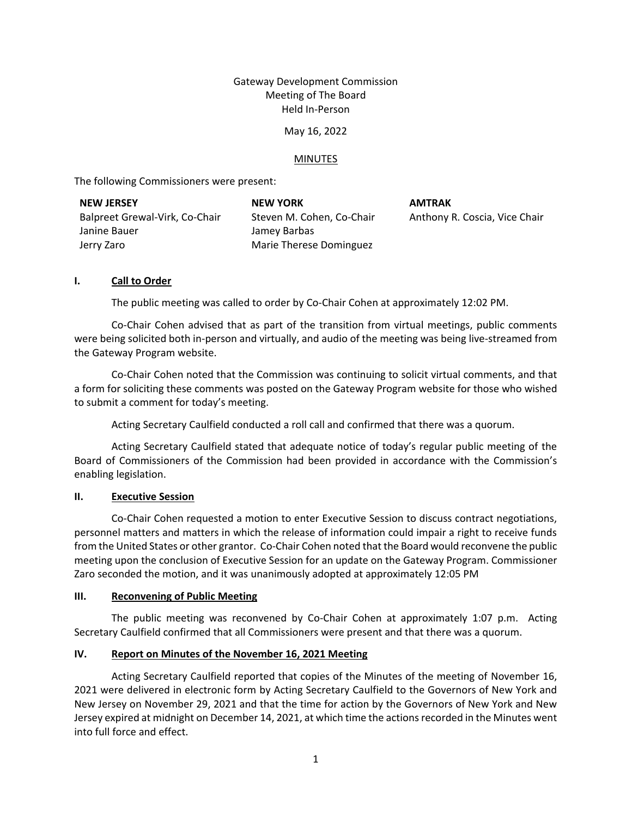# Gateway Development Commission Meeting of The Board Held In-Person

### May 16, 2022

## MINUTES

The following Commissioners were present:

| <b>NEW JERSEY</b>              | <b>NEW YORK</b>           | <b>AMTRAK</b> |
|--------------------------------|---------------------------|---------------|
| Balpreet Grewal-Virk, Co-Chair | Steven M. Cohen, Co-Chair | Anthony F     |
| Janine Bauer                   | Jamey Barbas              |               |
| Jerry Zaro                     | Marie Therese Dominguez   |               |

R. Coscia, Vice Chair

# **I. Call to Order**

The public meeting was called to order by Co-Chair Cohen at approximately 12:02 PM.

Co-Chair Cohen advised that as part of the transition from virtual meetings, public comments were being solicited both in-person and virtually, and audio of the meeting was being live-streamed from the Gateway Program website.

Co-Chair Cohen noted that the Commission was continuing to solicit virtual comments, and that a form for soliciting these comments was posted on the Gateway Program website for those who wished to submit a comment for today's meeting.

Acting Secretary Caulfield conducted a roll call and confirmed that there was a quorum.

Acting Secretary Caulfield stated that adequate notice of today's regular public meeting of the Board of Commissioners of the Commission had been provided in accordance with the Commission's enabling legislation.

### **II. Executive Session**

Co-Chair Cohen requested a motion to enter Executive Session to discuss contract negotiations, personnel matters and matters in which the release of information could impair a right to receive funds from the United States or other grantor. Co-Chair Cohen noted that the Board would reconvene the public meeting upon the conclusion of Executive Session for an update on the Gateway Program. Commissioner Zaro seconded the motion, and it was unanimously adopted at approximately 12:05 PM

### **III. Reconvening of Public Meeting**

The public meeting was reconvened by Co-Chair Cohen at approximately 1:07 p.m. Acting Secretary Caulfield confirmed that all Commissioners were present and that there was a quorum.

# **IV. Report on Minutes of the November 16, 2021 Meeting**

Acting Secretary Caulfield reported that copies of the Minutes of the meeting of November 16, 2021 were delivered in electronic form by Acting Secretary Caulfield to the Governors of New York and New Jersey on November 29, 2021 and that the time for action by the Governors of New York and New Jersey expired at midnight on December 14, 2021, at which time the actions recorded in the Minutes went into full force and effect.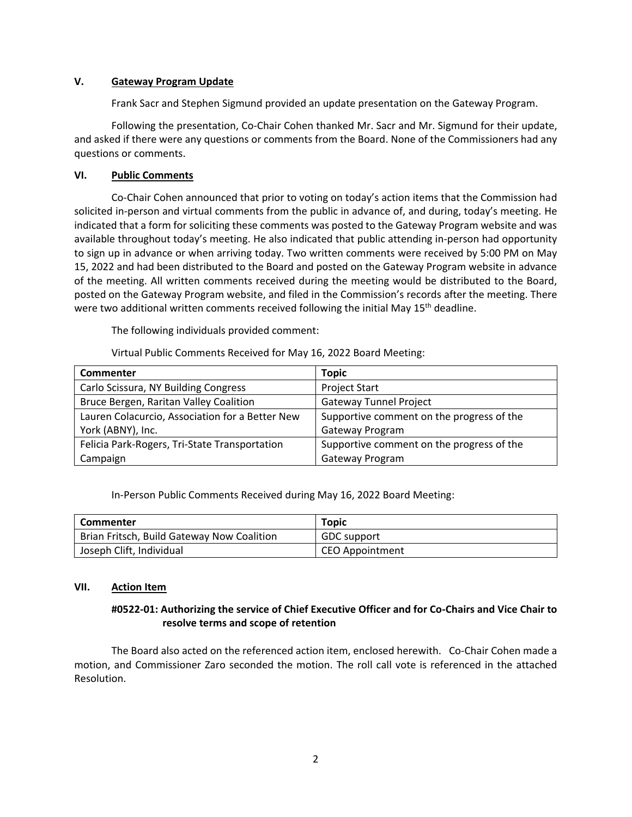## **V. Gateway Program Update**

Frank Sacr and Stephen Sigmund provided an update presentation on the Gateway Program.

Following the presentation, Co-Chair Cohen thanked Mr. Sacr and Mr. Sigmund for their update, and asked if there were any questions or comments from the Board. None of the Commissioners had any questions or comments.

# **VI. Public Comments**

Co-Chair Cohen announced that prior to voting on today's action items that the Commission had solicited in-person and virtual comments from the public in advance of, and during, today's meeting. He indicated that a form for soliciting these comments was posted to the Gateway Program website and was available throughout today's meeting. He also indicated that public attending in-person had opportunity to sign up in advance or when arriving today. Two written comments were received by 5:00 PM on May 15, 2022 and had been distributed to the Board and posted on the Gateway Program website in advance of the meeting. All written comments received during the meeting would be distributed to the Board, posted on the Gateway Program website, and filed in the Commission's records after the meeting. There were two additional written comments received following the initial May 15<sup>th</sup> deadline.

The following individuals provided comment:

Virtual Public Comments Received for May 16, 2022 Board Meeting:

| <b>Commenter</b>                                | Topic                                     |
|-------------------------------------------------|-------------------------------------------|
| Carlo Scissura, NY Building Congress            | <b>Project Start</b>                      |
| Bruce Bergen, Raritan Valley Coalition          | <b>Gateway Tunnel Project</b>             |
| Lauren Colacurcio, Association for a Better New | Supportive comment on the progress of the |
| York (ABNY), Inc.                               | Gateway Program                           |
| Felicia Park-Rogers, Tri-State Transportation   | Supportive comment on the progress of the |
| Campaign                                        | Gateway Program                           |

### In-Person Public Comments Received during May 16, 2022 Board Meeting:

| <b>Commenter</b>                           | <b>Topic</b>           |
|--------------------------------------------|------------------------|
| Brian Fritsch, Build Gateway Now Coalition | <b>GDC</b> support     |
| Joseph Clift, Individual                   | <b>CEO Appointment</b> |

### **VII. Action Item**

# **#0522-01: Authorizing the service of Chief Executive Officer and for Co-Chairs and Vice Chair to resolve terms and scope of retention**

The Board also acted on the referenced action item, enclosed herewith. Co-Chair Cohen made a motion, and Commissioner Zaro seconded the motion. The roll call vote is referenced in the attached Resolution.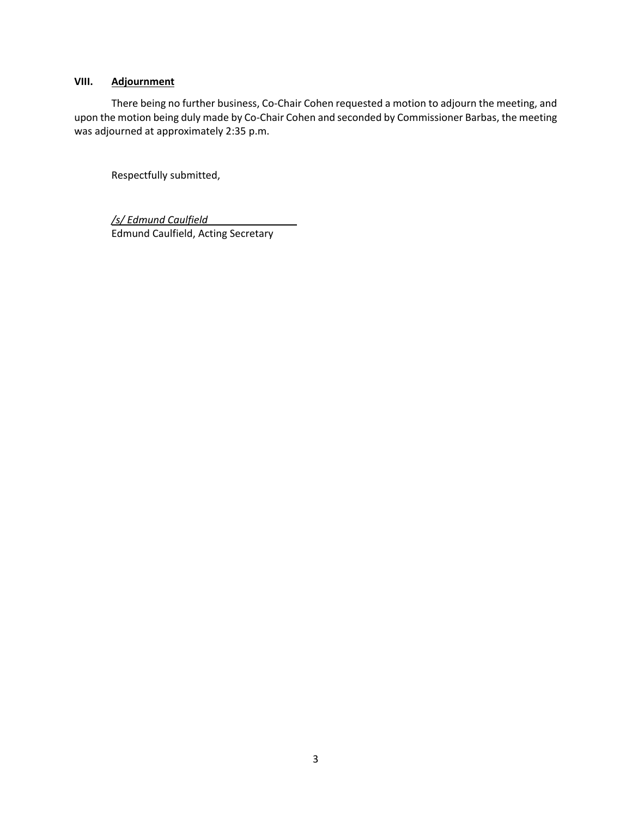# **VIII. Adjournment**

There being no further business, Co-Chair Cohen requested a motion to adjourn the meeting, and upon the motion being duly made by Co-Chair Cohen and seconded by Commissioner Barbas, the meeting was adjourned at approximately 2:35 p.m.

Respectfully submitted,

*/s/ Edmund Caulfield* Edmund Caulfield, Acting Secretary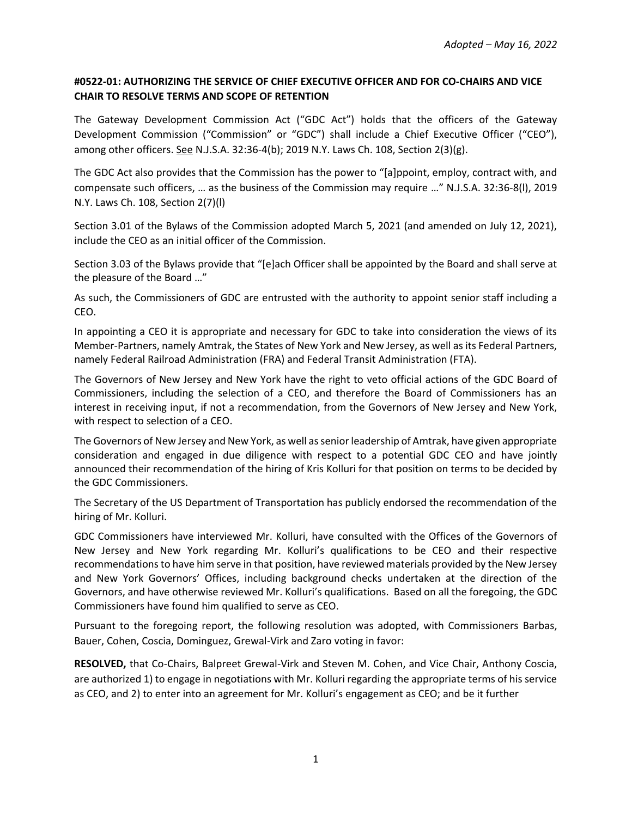# **#0522‐01: AUTHORIZING THE SERVICE OF CHIEF EXECUTIVE OFFICER AND FOR CO-CHAIRS AND VICE CHAIR TO RESOLVE TERMS AND SCOPE OF RETENTION**

The Gateway Development Commission Act ("GDC Act") holds that the officers of the Gateway Development Commission ("Commission" or "GDC") shall include a Chief Executive Officer ("CEO"), among other officers. See N.J.S.A. 32:36-4(b); 2019 N.Y. Laws Ch. 108, Section 2(3)(g).

The GDC Act also provides that the Commission has the power to "[a]ppoint, employ, contract with, and compensate such officers, … as the business of the Commission may require …" N.J.S.A. 32:36-8(l), 2019 N.Y. Laws Ch. 108, Section 2(7)(l)

Section 3.01 of the Bylaws of the Commission adopted March 5, 2021 (and amended on July 12, 2021), include the CEO as an initial officer of the Commission.

Section 3.03 of the Bylaws provide that "[e]ach Officer shall be appointed by the Board and shall serve at the pleasure of the Board …"

As such, the Commissioners of GDC are entrusted with the authority to appoint senior staff including a CEO.

In appointing a CEO it is appropriate and necessary for GDC to take into consideration the views of its Member-Partners, namely Amtrak, the States of New York and New Jersey, as well as its Federal Partners, namely Federal Railroad Administration (FRA) and Federal Transit Administration (FTA).

The Governors of New Jersey and New York have the right to veto official actions of the GDC Board of Commissioners, including the selection of a CEO, and therefore the Board of Commissioners has an interest in receiving input, if not a recommendation, from the Governors of New Jersey and New York, with respect to selection of a CEO.

The Governors of New Jersey and New York, as well as senior leadership of Amtrak, have given appropriate consideration and engaged in due diligence with respect to a potential GDC CEO and have jointly announced their recommendation of the hiring of Kris Kolluri for that position on terms to be decided by the GDC Commissioners.

The Secretary of the US Department of Transportation has publicly endorsed the recommendation of the hiring of Mr. Kolluri.

GDC Commissioners have interviewed Mr. Kolluri, have consulted with the Offices of the Governors of New Jersey and New York regarding Mr. Kolluri's qualifications to be CEO and their respective recommendations to have him serve in that position, have reviewed materials provided by the New Jersey and New York Governors' Offices, including background checks undertaken at the direction of the Governors, and have otherwise reviewed Mr. Kolluri's qualifications. Based on all the foregoing, the GDC Commissioners have found him qualified to serve as CEO.

Pursuant to the foregoing report, the following resolution was adopted, with Commissioners Barbas, Bauer, Cohen, Coscia, Dominguez, Grewal-Virk and Zaro voting in favor:

**RESOLVED,** that Co-Chairs, Balpreet Grewal-Virk and Steven M. Cohen, and Vice Chair, Anthony Coscia, are authorized 1) to engage in negotiations with Mr. Kolluri regarding the appropriate terms of his service as CEO, and 2) to enter into an agreement for Mr. Kolluri's engagement as CEO; and be it further